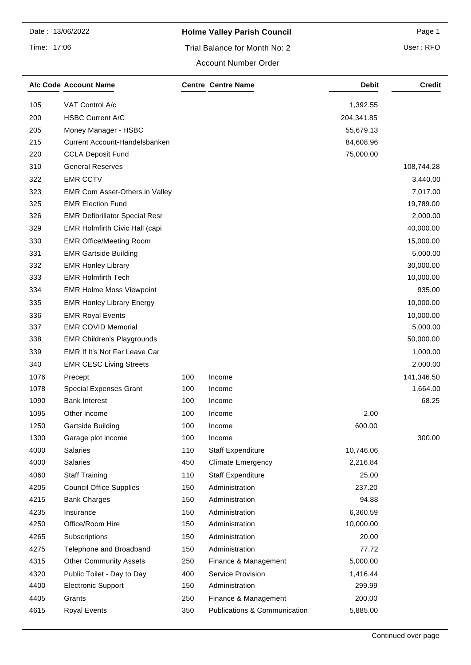Time: 17:06

# **Holme Valley Parish Council Page 1** Page 1

### Trial Balance for Month No: 2

User : RFO

#### Account Number Order

| VAT Control A/c<br>105<br>1,392.55<br><b>HSBC Current A/C</b><br>200<br>204,341.85<br>205<br>Money Manager - HSBC<br>55,679.13<br>215<br>Current Account-Handelsbanken<br>84,608.96<br>75,000.00<br>220<br><b>CCLA Deposit Fund</b><br>310<br><b>General Reserves</b><br>108,744.28<br>322<br><b>EMR CCTV</b><br>3,440.00<br>323<br>EMR Com Asset-Others in Valley<br>7,017.00<br>325<br><b>EMR Election Fund</b><br>19,789.00<br>326<br><b>EMR Defibrillator Special Resr</b><br>2,000.00<br>329<br>EMR Holmfirth Civic Hall (capi<br>40,000.00<br>330<br><b>EMR Office/Meeting Room</b><br>15,000.00<br>331<br><b>EMR Gartside Building</b><br>5,000.00<br>332<br><b>EMR Honley Library</b><br>30,000.00<br><b>EMR Holmfirth Tech</b><br>333<br>10,000.00<br>334<br>935.00<br><b>EMR Holme Moss Viewpoint</b><br>335<br><b>EMR Honley Library Energy</b><br>10,000.00<br>336<br><b>EMR Royal Events</b><br>10,000.00<br>337<br><b>EMR COVID Memorial</b><br>5,000.00<br>338<br><b>EMR Children's Playgrounds</b><br>50,000.00<br>339<br>EMR If It's Not Far Leave Car<br>1,000.00<br>340<br>2,000.00<br><b>EMR CESC Living Streets</b><br>1076<br>100<br>Precept<br>Income<br>141,346.50<br>100<br>1078<br><b>Special Expenses Grant</b><br>1,664.00<br>Income<br><b>Bank Interest</b><br>68.25<br>1090<br>100<br>Income<br>100<br>2.00<br>1095<br>Other income<br>Income<br>1250<br>Gartside Building<br>100<br>600.00<br>Income<br>300.00<br>1300<br>100<br>Garage plot income<br>Income<br>4000<br>Salaries<br>110<br>10,746.06<br><b>Staff Expenditure</b><br>4000<br>Salaries<br>450<br><b>Climate Emergency</b><br>2,216.84<br>4060<br>110<br><b>Staff Expenditure</b><br><b>Staff Training</b><br>25.00<br>Administration<br>4205<br><b>Council Office Supplies</b><br>150<br>237.20<br>150<br>Administration<br>94.88<br>4215<br><b>Bank Charges</b><br>4235<br>150<br>Administration<br>6,360.59<br>Insurance<br>4250<br>Office/Room Hire<br>150<br>Administration<br>10,000.00<br>4265<br>Subscriptions<br>150<br>Administration<br>20.00<br>4275<br>Telephone and Broadband<br>150<br>Administration<br>77.72<br><b>Other Community Assets</b><br>250<br>5,000.00<br>4315<br>Finance & Management<br>4320<br>Public Toilet - Day to Day<br>400<br>Service Provision<br>1,416.44<br>4400<br>Administration<br><b>Electronic Support</b><br>150<br>299.99 | A/c Code Account Name | <b>Centre Centre Name</b> | Debit | Credit |
|----------------------------------------------------------------------------------------------------------------------------------------------------------------------------------------------------------------------------------------------------------------------------------------------------------------------------------------------------------------------------------------------------------------------------------------------------------------------------------------------------------------------------------------------------------------------------------------------------------------------------------------------------------------------------------------------------------------------------------------------------------------------------------------------------------------------------------------------------------------------------------------------------------------------------------------------------------------------------------------------------------------------------------------------------------------------------------------------------------------------------------------------------------------------------------------------------------------------------------------------------------------------------------------------------------------------------------------------------------------------------------------------------------------------------------------------------------------------------------------------------------------------------------------------------------------------------------------------------------------------------------------------------------------------------------------------------------------------------------------------------------------------------------------------------------------------------------------------------------------------------------------------------------------------------------------------------------------------------------------------------------------------------------------------------------------------------------------------------------------------------------------------------------------------------------------------------------------------------------------------------------------------------------------------------------------------------------------------------------------------|-----------------------|---------------------------|-------|--------|
|                                                                                                                                                                                                                                                                                                                                                                                                                                                                                                                                                                                                                                                                                                                                                                                                                                                                                                                                                                                                                                                                                                                                                                                                                                                                                                                                                                                                                                                                                                                                                                                                                                                                                                                                                                                                                                                                                                                                                                                                                                                                                                                                                                                                                                                                                                                                                                      |                       |                           |       |        |
|                                                                                                                                                                                                                                                                                                                                                                                                                                                                                                                                                                                                                                                                                                                                                                                                                                                                                                                                                                                                                                                                                                                                                                                                                                                                                                                                                                                                                                                                                                                                                                                                                                                                                                                                                                                                                                                                                                                                                                                                                                                                                                                                                                                                                                                                                                                                                                      |                       |                           |       |        |
|                                                                                                                                                                                                                                                                                                                                                                                                                                                                                                                                                                                                                                                                                                                                                                                                                                                                                                                                                                                                                                                                                                                                                                                                                                                                                                                                                                                                                                                                                                                                                                                                                                                                                                                                                                                                                                                                                                                                                                                                                                                                                                                                                                                                                                                                                                                                                                      |                       |                           |       |        |
|                                                                                                                                                                                                                                                                                                                                                                                                                                                                                                                                                                                                                                                                                                                                                                                                                                                                                                                                                                                                                                                                                                                                                                                                                                                                                                                                                                                                                                                                                                                                                                                                                                                                                                                                                                                                                                                                                                                                                                                                                                                                                                                                                                                                                                                                                                                                                                      |                       |                           |       |        |
|                                                                                                                                                                                                                                                                                                                                                                                                                                                                                                                                                                                                                                                                                                                                                                                                                                                                                                                                                                                                                                                                                                                                                                                                                                                                                                                                                                                                                                                                                                                                                                                                                                                                                                                                                                                                                                                                                                                                                                                                                                                                                                                                                                                                                                                                                                                                                                      |                       |                           |       |        |
|                                                                                                                                                                                                                                                                                                                                                                                                                                                                                                                                                                                                                                                                                                                                                                                                                                                                                                                                                                                                                                                                                                                                                                                                                                                                                                                                                                                                                                                                                                                                                                                                                                                                                                                                                                                                                                                                                                                                                                                                                                                                                                                                                                                                                                                                                                                                                                      |                       |                           |       |        |
|                                                                                                                                                                                                                                                                                                                                                                                                                                                                                                                                                                                                                                                                                                                                                                                                                                                                                                                                                                                                                                                                                                                                                                                                                                                                                                                                                                                                                                                                                                                                                                                                                                                                                                                                                                                                                                                                                                                                                                                                                                                                                                                                                                                                                                                                                                                                                                      |                       |                           |       |        |
|                                                                                                                                                                                                                                                                                                                                                                                                                                                                                                                                                                                                                                                                                                                                                                                                                                                                                                                                                                                                                                                                                                                                                                                                                                                                                                                                                                                                                                                                                                                                                                                                                                                                                                                                                                                                                                                                                                                                                                                                                                                                                                                                                                                                                                                                                                                                                                      |                       |                           |       |        |
|                                                                                                                                                                                                                                                                                                                                                                                                                                                                                                                                                                                                                                                                                                                                                                                                                                                                                                                                                                                                                                                                                                                                                                                                                                                                                                                                                                                                                                                                                                                                                                                                                                                                                                                                                                                                                                                                                                                                                                                                                                                                                                                                                                                                                                                                                                                                                                      |                       |                           |       |        |
|                                                                                                                                                                                                                                                                                                                                                                                                                                                                                                                                                                                                                                                                                                                                                                                                                                                                                                                                                                                                                                                                                                                                                                                                                                                                                                                                                                                                                                                                                                                                                                                                                                                                                                                                                                                                                                                                                                                                                                                                                                                                                                                                                                                                                                                                                                                                                                      |                       |                           |       |        |
|                                                                                                                                                                                                                                                                                                                                                                                                                                                                                                                                                                                                                                                                                                                                                                                                                                                                                                                                                                                                                                                                                                                                                                                                                                                                                                                                                                                                                                                                                                                                                                                                                                                                                                                                                                                                                                                                                                                                                                                                                                                                                                                                                                                                                                                                                                                                                                      |                       |                           |       |        |
|                                                                                                                                                                                                                                                                                                                                                                                                                                                                                                                                                                                                                                                                                                                                                                                                                                                                                                                                                                                                                                                                                                                                                                                                                                                                                                                                                                                                                                                                                                                                                                                                                                                                                                                                                                                                                                                                                                                                                                                                                                                                                                                                                                                                                                                                                                                                                                      |                       |                           |       |        |
|                                                                                                                                                                                                                                                                                                                                                                                                                                                                                                                                                                                                                                                                                                                                                                                                                                                                                                                                                                                                                                                                                                                                                                                                                                                                                                                                                                                                                                                                                                                                                                                                                                                                                                                                                                                                                                                                                                                                                                                                                                                                                                                                                                                                                                                                                                                                                                      |                       |                           |       |        |
|                                                                                                                                                                                                                                                                                                                                                                                                                                                                                                                                                                                                                                                                                                                                                                                                                                                                                                                                                                                                                                                                                                                                                                                                                                                                                                                                                                                                                                                                                                                                                                                                                                                                                                                                                                                                                                                                                                                                                                                                                                                                                                                                                                                                                                                                                                                                                                      |                       |                           |       |        |
|                                                                                                                                                                                                                                                                                                                                                                                                                                                                                                                                                                                                                                                                                                                                                                                                                                                                                                                                                                                                                                                                                                                                                                                                                                                                                                                                                                                                                                                                                                                                                                                                                                                                                                                                                                                                                                                                                                                                                                                                                                                                                                                                                                                                                                                                                                                                                                      |                       |                           |       |        |
|                                                                                                                                                                                                                                                                                                                                                                                                                                                                                                                                                                                                                                                                                                                                                                                                                                                                                                                                                                                                                                                                                                                                                                                                                                                                                                                                                                                                                                                                                                                                                                                                                                                                                                                                                                                                                                                                                                                                                                                                                                                                                                                                                                                                                                                                                                                                                                      |                       |                           |       |        |
|                                                                                                                                                                                                                                                                                                                                                                                                                                                                                                                                                                                                                                                                                                                                                                                                                                                                                                                                                                                                                                                                                                                                                                                                                                                                                                                                                                                                                                                                                                                                                                                                                                                                                                                                                                                                                                                                                                                                                                                                                                                                                                                                                                                                                                                                                                                                                                      |                       |                           |       |        |
|                                                                                                                                                                                                                                                                                                                                                                                                                                                                                                                                                                                                                                                                                                                                                                                                                                                                                                                                                                                                                                                                                                                                                                                                                                                                                                                                                                                                                                                                                                                                                                                                                                                                                                                                                                                                                                                                                                                                                                                                                                                                                                                                                                                                                                                                                                                                                                      |                       |                           |       |        |
|                                                                                                                                                                                                                                                                                                                                                                                                                                                                                                                                                                                                                                                                                                                                                                                                                                                                                                                                                                                                                                                                                                                                                                                                                                                                                                                                                                                                                                                                                                                                                                                                                                                                                                                                                                                                                                                                                                                                                                                                                                                                                                                                                                                                                                                                                                                                                                      |                       |                           |       |        |
|                                                                                                                                                                                                                                                                                                                                                                                                                                                                                                                                                                                                                                                                                                                                                                                                                                                                                                                                                                                                                                                                                                                                                                                                                                                                                                                                                                                                                                                                                                                                                                                                                                                                                                                                                                                                                                                                                                                                                                                                                                                                                                                                                                                                                                                                                                                                                                      |                       |                           |       |        |
|                                                                                                                                                                                                                                                                                                                                                                                                                                                                                                                                                                                                                                                                                                                                                                                                                                                                                                                                                                                                                                                                                                                                                                                                                                                                                                                                                                                                                                                                                                                                                                                                                                                                                                                                                                                                                                                                                                                                                                                                                                                                                                                                                                                                                                                                                                                                                                      |                       |                           |       |        |
|                                                                                                                                                                                                                                                                                                                                                                                                                                                                                                                                                                                                                                                                                                                                                                                                                                                                                                                                                                                                                                                                                                                                                                                                                                                                                                                                                                                                                                                                                                                                                                                                                                                                                                                                                                                                                                                                                                                                                                                                                                                                                                                                                                                                                                                                                                                                                                      |                       |                           |       |        |
|                                                                                                                                                                                                                                                                                                                                                                                                                                                                                                                                                                                                                                                                                                                                                                                                                                                                                                                                                                                                                                                                                                                                                                                                                                                                                                                                                                                                                                                                                                                                                                                                                                                                                                                                                                                                                                                                                                                                                                                                                                                                                                                                                                                                                                                                                                                                                                      |                       |                           |       |        |
|                                                                                                                                                                                                                                                                                                                                                                                                                                                                                                                                                                                                                                                                                                                                                                                                                                                                                                                                                                                                                                                                                                                                                                                                                                                                                                                                                                                                                                                                                                                                                                                                                                                                                                                                                                                                                                                                                                                                                                                                                                                                                                                                                                                                                                                                                                                                                                      |                       |                           |       |        |
|                                                                                                                                                                                                                                                                                                                                                                                                                                                                                                                                                                                                                                                                                                                                                                                                                                                                                                                                                                                                                                                                                                                                                                                                                                                                                                                                                                                                                                                                                                                                                                                                                                                                                                                                                                                                                                                                                                                                                                                                                                                                                                                                                                                                                                                                                                                                                                      |                       |                           |       |        |
|                                                                                                                                                                                                                                                                                                                                                                                                                                                                                                                                                                                                                                                                                                                                                                                                                                                                                                                                                                                                                                                                                                                                                                                                                                                                                                                                                                                                                                                                                                                                                                                                                                                                                                                                                                                                                                                                                                                                                                                                                                                                                                                                                                                                                                                                                                                                                                      |                       |                           |       |        |
|                                                                                                                                                                                                                                                                                                                                                                                                                                                                                                                                                                                                                                                                                                                                                                                                                                                                                                                                                                                                                                                                                                                                                                                                                                                                                                                                                                                                                                                                                                                                                                                                                                                                                                                                                                                                                                                                                                                                                                                                                                                                                                                                                                                                                                                                                                                                                                      |                       |                           |       |        |
|                                                                                                                                                                                                                                                                                                                                                                                                                                                                                                                                                                                                                                                                                                                                                                                                                                                                                                                                                                                                                                                                                                                                                                                                                                                                                                                                                                                                                                                                                                                                                                                                                                                                                                                                                                                                                                                                                                                                                                                                                                                                                                                                                                                                                                                                                                                                                                      |                       |                           |       |        |
|                                                                                                                                                                                                                                                                                                                                                                                                                                                                                                                                                                                                                                                                                                                                                                                                                                                                                                                                                                                                                                                                                                                                                                                                                                                                                                                                                                                                                                                                                                                                                                                                                                                                                                                                                                                                                                                                                                                                                                                                                                                                                                                                                                                                                                                                                                                                                                      |                       |                           |       |        |
|                                                                                                                                                                                                                                                                                                                                                                                                                                                                                                                                                                                                                                                                                                                                                                                                                                                                                                                                                                                                                                                                                                                                                                                                                                                                                                                                                                                                                                                                                                                                                                                                                                                                                                                                                                                                                                                                                                                                                                                                                                                                                                                                                                                                                                                                                                                                                                      |                       |                           |       |        |
|                                                                                                                                                                                                                                                                                                                                                                                                                                                                                                                                                                                                                                                                                                                                                                                                                                                                                                                                                                                                                                                                                                                                                                                                                                                                                                                                                                                                                                                                                                                                                                                                                                                                                                                                                                                                                                                                                                                                                                                                                                                                                                                                                                                                                                                                                                                                                                      |                       |                           |       |        |
|                                                                                                                                                                                                                                                                                                                                                                                                                                                                                                                                                                                                                                                                                                                                                                                                                                                                                                                                                                                                                                                                                                                                                                                                                                                                                                                                                                                                                                                                                                                                                                                                                                                                                                                                                                                                                                                                                                                                                                                                                                                                                                                                                                                                                                                                                                                                                                      |                       |                           |       |        |
|                                                                                                                                                                                                                                                                                                                                                                                                                                                                                                                                                                                                                                                                                                                                                                                                                                                                                                                                                                                                                                                                                                                                                                                                                                                                                                                                                                                                                                                                                                                                                                                                                                                                                                                                                                                                                                                                                                                                                                                                                                                                                                                                                                                                                                                                                                                                                                      |                       |                           |       |        |
|                                                                                                                                                                                                                                                                                                                                                                                                                                                                                                                                                                                                                                                                                                                                                                                                                                                                                                                                                                                                                                                                                                                                                                                                                                                                                                                                                                                                                                                                                                                                                                                                                                                                                                                                                                                                                                                                                                                                                                                                                                                                                                                                                                                                                                                                                                                                                                      |                       |                           |       |        |
|                                                                                                                                                                                                                                                                                                                                                                                                                                                                                                                                                                                                                                                                                                                                                                                                                                                                                                                                                                                                                                                                                                                                                                                                                                                                                                                                                                                                                                                                                                                                                                                                                                                                                                                                                                                                                                                                                                                                                                                                                                                                                                                                                                                                                                                                                                                                                                      |                       |                           |       |        |
|                                                                                                                                                                                                                                                                                                                                                                                                                                                                                                                                                                                                                                                                                                                                                                                                                                                                                                                                                                                                                                                                                                                                                                                                                                                                                                                                                                                                                                                                                                                                                                                                                                                                                                                                                                                                                                                                                                                                                                                                                                                                                                                                                                                                                                                                                                                                                                      |                       |                           |       |        |
|                                                                                                                                                                                                                                                                                                                                                                                                                                                                                                                                                                                                                                                                                                                                                                                                                                                                                                                                                                                                                                                                                                                                                                                                                                                                                                                                                                                                                                                                                                                                                                                                                                                                                                                                                                                                                                                                                                                                                                                                                                                                                                                                                                                                                                                                                                                                                                      |                       |                           |       |        |
|                                                                                                                                                                                                                                                                                                                                                                                                                                                                                                                                                                                                                                                                                                                                                                                                                                                                                                                                                                                                                                                                                                                                                                                                                                                                                                                                                                                                                                                                                                                                                                                                                                                                                                                                                                                                                                                                                                                                                                                                                                                                                                                                                                                                                                                                                                                                                                      |                       |                           |       |        |
|                                                                                                                                                                                                                                                                                                                                                                                                                                                                                                                                                                                                                                                                                                                                                                                                                                                                                                                                                                                                                                                                                                                                                                                                                                                                                                                                                                                                                                                                                                                                                                                                                                                                                                                                                                                                                                                                                                                                                                                                                                                                                                                                                                                                                                                                                                                                                                      |                       |                           |       |        |
|                                                                                                                                                                                                                                                                                                                                                                                                                                                                                                                                                                                                                                                                                                                                                                                                                                                                                                                                                                                                                                                                                                                                                                                                                                                                                                                                                                                                                                                                                                                                                                                                                                                                                                                                                                                                                                                                                                                                                                                                                                                                                                                                                                                                                                                                                                                                                                      |                       |                           |       |        |
| 4405<br>250<br>Finance & Management<br>200.00<br>Grants                                                                                                                                                                                                                                                                                                                                                                                                                                                                                                                                                                                                                                                                                                                                                                                                                                                                                                                                                                                                                                                                                                                                                                                                                                                                                                                                                                                                                                                                                                                                                                                                                                                                                                                                                                                                                                                                                                                                                                                                                                                                                                                                                                                                                                                                                                              |                       |                           |       |        |
| 4615<br><b>Royal Events</b><br>350<br>Publications & Communication<br>5,885.00                                                                                                                                                                                                                                                                                                                                                                                                                                                                                                                                                                                                                                                                                                                                                                                                                                                                                                                                                                                                                                                                                                                                                                                                                                                                                                                                                                                                                                                                                                                                                                                                                                                                                                                                                                                                                                                                                                                                                                                                                                                                                                                                                                                                                                                                                       |                       |                           |       |        |